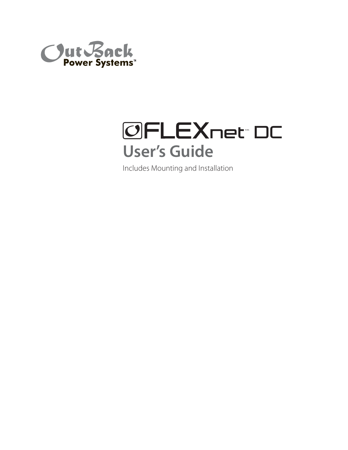



Includes Mounting and Installation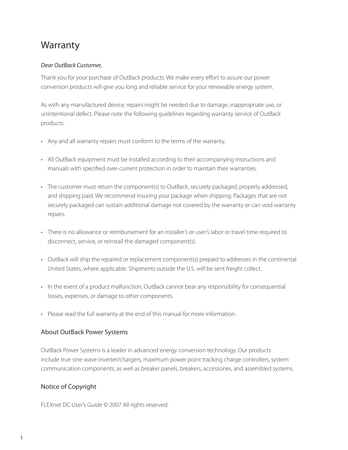## **Warranty**

#### Dear OutBack Customer,

Thank you for your purchase of OutBack products. We make every effort to assure our power conversion products will give you long and reliable service for your renewable energy system.

As with any manufactured device, repairs might be needed due to damage, inappropriate use, or unintentional defect. Please note the following guidelines regarding warranty service of OutBack products:

- Any and all warranty repairs must conform to the terms of the warranty.
- All OutBack equipment must be installed according to their accompanying instructions and manuals with specified over-current protection in order to maintain their warranties.
- The customer must return the component(s) to OutBack, securely packaged, properly addressed, and shipping paid. We recommend insuring your package when shipping. Packages that are not securely packaged can sustain additional damage not covered by the warranty or can void warranty repairs.
- There is no allowance or reimbursement for an installer's or user's labor or travel time required to disconnect, service, or reinstall the damaged component(s).
- OutBack will ship the repaired or replacement component(s) prepaid to addresses in the continental United States, where applicable. Shipments outside the U.S. will be sent freight collect.
- In the event of a product malfunction, OutBack cannot bear any responsibility for consequential losses, expenses, or damage to other components.
- Please read the full warranty at the end of this manual for more information.

### About OutBack Power Systems

OutBack Power Systems is a leader in advanced energy conversion technology. Our products include true sine wave inverter/chargers, maximum power point tracking charge controllers, system communication components, as well as breaker panels, breakers, accessories, and assembled systems.

### Notice of Copyright

FLEXnet DC User's Guide © 2007 All rights reserved.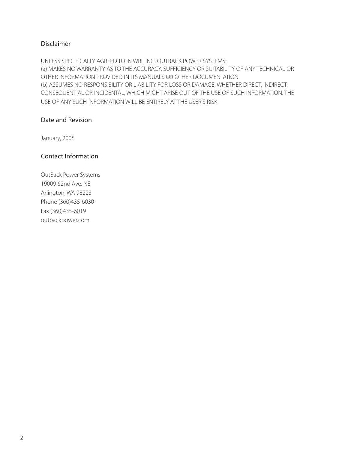### Disclaimer

UNLESS SPECIFICALLY AGREED TO IN WRITING, OUTBACK POWER SYSTEMS: (a) MAKES NO WARRANTY AS TO THE ACCURACY, SUFFICIENCY OR SUITABILITY OF ANY TECHNICAL OR OTHER INFORMATION PROVIDED IN ITS MANUALS OR OTHER DOCUMENTATION. (b) ASSUMES NO RESPONSIBILITY OR LIABILITY FOR LOSS OR DAMAGE, WHETHER DIRECT, INDIRECT, CONSEQUENTIAL OR INCIDENTAL, WHICH MIGHT ARISE OUT OF THE USE OF SUCH INFORMATION. THE USE OF ANY SUCH INFORMATION WILL BE ENTIRELY AT THE USER'S RISK.

#### Date and Revision

January, 2008

### Contact Information

OutBack Power Systems 19009 62nd Ave. NE Arlington, WA 98223 Phone (360)435-6030 Fax (360)435-6019 outbackpower.com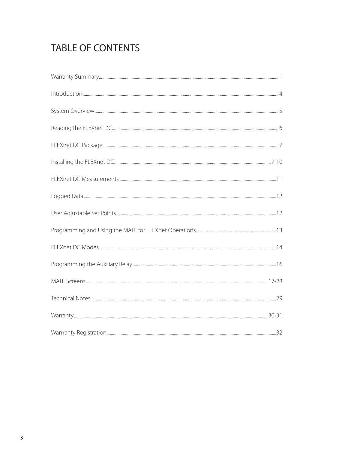# TABLE OF CONTENTS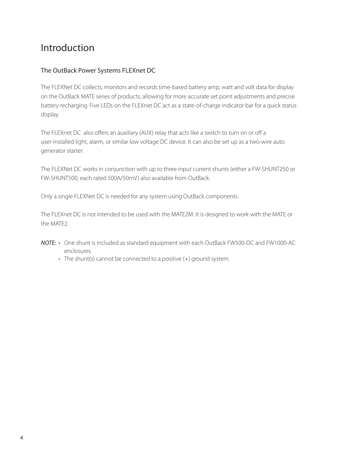### Introduction

### The OutBack Power Systems FLEXnet DC

The FLEXNet DC collects, monitors and records time-based battery amp, watt and volt data for display on the OutBack MATE series of products, allowing for more accurate set point adjustments and precise battery recharging. Five LEDs on the FLEXnet DC act as a state-of-charge indicator bar for a quick status display.

The FLEXnet DC also offers an auxiliary (AUX) relay that acts like a switch to turn on or off a user-installed light, alarm, or similar low voltage DC device. It can also be set up as a two-wire auto generator starter.

The FLEXNet DC works in conjunction with up to three input current shunts (either a FW-SHUNT250 or FW-SHUNT500, each rated 500A/50mV) also available from OutBack.

Only a single FLEXNet DC is needed for any system using OutBack components.

The FLEXnet DC is not intended to be used with the MATE2M. It is designed to work with the MATE or the MATE2.

- NOTE: One shunt is included as standard equipment with each OutBack FW500-DC and FW1000-AC enclosures.
	- The shunt(s) cannot be connected to a positive (+) ground system.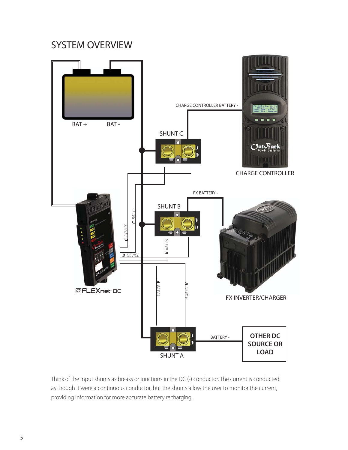### SYSTEM OVERVIEW



Think of the input shunts as breaks or junctions in the DC (-) conductor. The current is conducted as though it were a continuous conductor, but the shunts allow the user to monitor the current, providing information for more accurate battery recharging.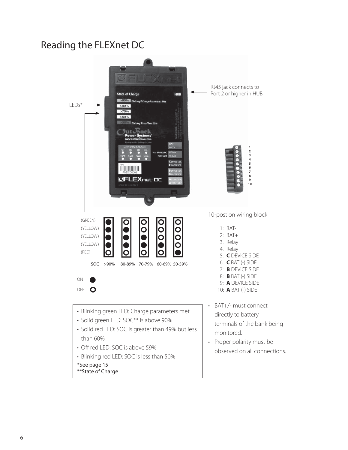## Reading the FLEXnet DC

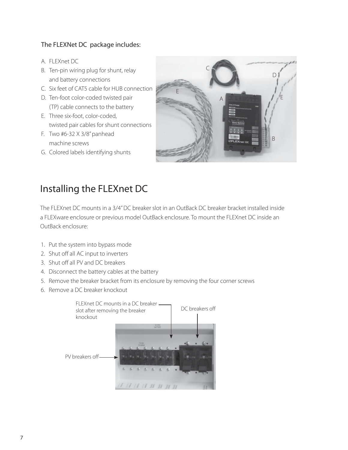### The FLEXNet DC package includes:

- A. FLEXnet DC
- B. Ten-pin wiring plug for shunt, relay and battery connections
- C. Six feet of CAT5 cable for HUB connection
- D. Ten-foot color-coded twisted pair (TP) cable connects to the battery
- E. Three six-foot, color-coded, twisted pair cables for shunt connections
- F. Two #6-32 X 3/8" panhead machine screws
- G. Colored labels identifying shunts



## Installing the FLEXnet DC

The FLEXnet DC mounts in a 3/4" DC breaker slot in an OutBack DC breaker bracket installed inside a FLEXware enclosure or previous model OutBack enclosure. To mount the FLEXnet DC inside an OutBack enclosure:

- 1. Put the system into bypass mode
- 2. Shut off all AC input to inverters
- 3. Shut off all PV and DC breakers
- 4. Disconnect the battery cables at the battery
- 5. Remove the breaker bracket from its enclosure by removing the four corner screws
- 6. Remove a DC breaker knockout

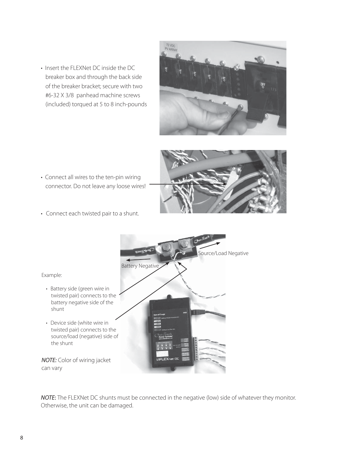• Insert the FLEXNet DC inside the DC breaker box and through the back side of the breaker bracket; secure with two #6-32 X 3/8 panhead machine screws (included) torqued at 5 to 8 inch-pounds







• Connect each twisted pair to a shunt.



NOTE: The FLEXNet DC shunts must be connected in the negative (low) side of whatever they monitor. Otherwise, the unit can be damaged.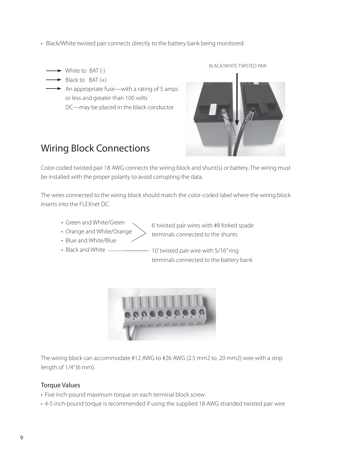- Black/White twisted pair connects directly to the battery bank being monitored:
	- $\rightarrow$  White to BAT (-)
	- $\rightarrow$  Black to BAT (+)
		- $\rightarrow$  An appropriate fuse—with a rating of 5 amps or less and greater than 100 volts DC—may be placed in the black conductor

#### BLACK/WHITE TWISTED PAIR



## Wiring Block Connections

Color-coded twisted pair 18 AWG connects the wiring block and shunt(s) or battery. The wiring must be installed with the proper polarity to avoid corrupting the data.

The wires connected to the wiring block should match the color-coded label where the wiring block inserts into the FLEXnet DC.

- Green and White/Green
- Orange and White/Orange
- 6' twisted pair wires with #8 forked spade terminals connected to the shunts
- Blue and White/Blue
- Black and White –
- 10' twisted pair wire with 5/16" ring terminals connected to the battery bank



The wiring block can accommodate #12 AWG to #26 AWG (2.5 mm2 to .20 mm2) wire with a strip length of 1/4" (6 mm).

### Torque Values

- Five inch-pound maximum torque on each terminal block screw
- 4-5 inch-pound torque is recommended if using the supplied 18 AWG stranded twisted pair wire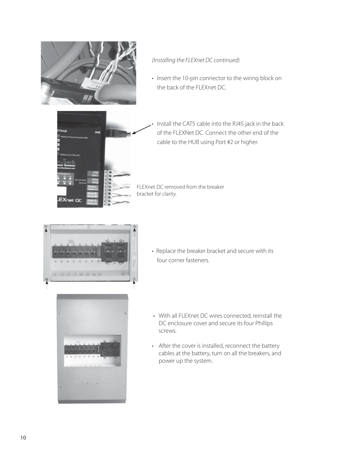

### (Installing the FLEXnet DC continued)

• Insert the 10-pin connector to the wiring block on the back of the FLEXnet DC.



Install the CAT5 cable into the RJ45 jack in the back of the FLEXNet DC. Connect the other end of the cable to the HUB using Port #2 or higher.

FLEXnet DC removed from the breaker bracket for clarity.



• Replace the breaker bracket and secure with its four corner fasteners.



- With all FLEXnet DC wires connected, reinstall the DC enclosure cover and secure its four Phillips screws.
- After the cover is installed, reconnect the battery cables at the battery, turn on all the breakers, and power up the system.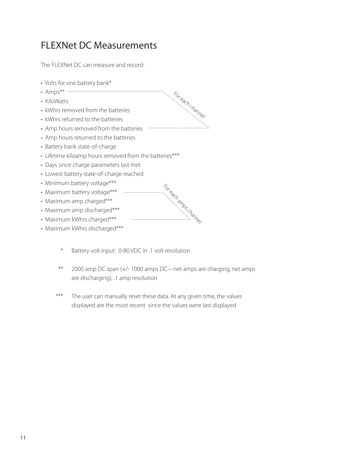## FLEXNet DC Measurements

The FLEXNet DC can measure and record:

- Volts for one battery bank\*
- Amps\*\* ……
- KiloWatts
- kWhrs removed from the batteries
- kWhrs returned to the batteries
- Amp hours removed from the batteries
- Amp hours returned to the batteries
- Battery bank state-of-charge
- Lifetime kiloamp hours removed from the batteries\*\*\*
- Days since charge parameters last met
- Lowest battery state-of-charge reached
- Minimum battery voltage\*\*\*
- Maximum battery voltage\*\*\*
- Maximum amp charged\*\*\*
- Maximum amp discharged\*\*\*
- Maximum kWhrs charged\*\*\*
- Maximum kWhrs discharged\*\*\*
	- \* Battery volt input: 0-80 VDC in .1 volt resolution
	- \*\* 2000 amp DC span (+/- 1000 amps DC—net amps are charging, net amps are discharging), .1 amp resolution

For each channel

For each amps channel

\*\*\* The user can manually reset these data. At any given time, the values displayed are the most recent since the values were last displayed

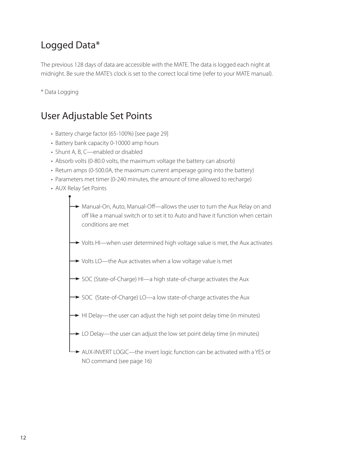# Logged Data\*

The previous 128 days of data are accessible with the MATE. The data is logged each night at midnight. Be sure the MATE's clock is set to the correct local time (refer to your MATE manual).

\* Data Logging

## User Adjustable Set Points

- Battery charge factor (65-100%) [see page 29]
- Battery bank capacity 0-10000 amp hours
- Shunt A, B, C—enabled or disabled
- Absorb volts (0-80.0 volts, the maximum voltage the battery can absorb)
- Return amps (0-500.0A, the maximum current amperage going into the battery)
- Parameters met timer (0-240 minutes, the amount of time allowed to recharge)
- AUX Relay Set Points
	- → Manual-On, Auto, Manual-Off—allows the user to turn the Aux Relay on and off like a manual switch or to set it to Auto and have it function when certain conditions are met
	- $\rightarrow$  Volts HI—when user determined high voltage value is met, the Aux activates
	- $\rightarrow$  Volts LO—the Aux activates when a low voltage value is met
	- SOC (State-of-Charge) HI-a high state-of-charge activates the Aux
	- SOC (State-of-Charge) LO—a low state-of-charge activates the Aux
	- $\rightarrow$  HI Delay—the user can adjust the high set point delay time (in minutes)
	- $\rightarrow$  LO Delay—the user can adjust the low set point delay time (in minutes)
	- AUX-INVERT LOGIC—the invert logic function can be activated with a YES or NO command (see page 16)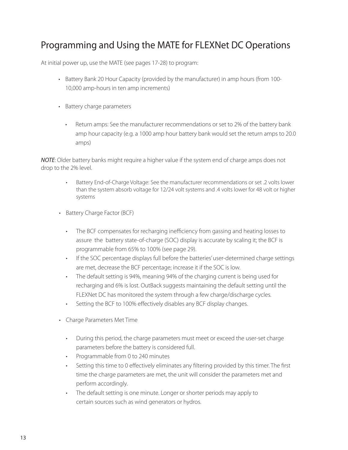## Programming and Using the MATE for FLEXNet DC Operations

At initial power up, use the MATE (see pages 17-28) to program:

- Battery Bank 20 Hour Capacity (provided by the manufacturer) in amp hours (from 100- 10,000 amp-hours in ten amp increments)
- Battery charge parameters
	- Return amps: See the manufacturer recommendations or set to 2% of the battery bank amp hour capacity (e.g. a 1000 amp hour battery bank would set the return amps to 20.0 amps)

NOTE: Older battery banks might require a higher value if the system end of charge amps does not drop to the 2% level.

- Battery End-of-Charge Voltage: See the manufacturer recommendations or set .2 volts lower than the system absorb voltage for 12/24 volt systems and .4 volts lower for 48 volt or higher systems
- Battery Charge Factor (BCF)
	- The BCF compensates for recharging inefficiency from gassing and heating losses to assure the battery state-of-charge (SOC) display is accurate by scaling it; the BCF is programmable from 65% to 100% (see page 29).
	- If the SOC percentage displays full before the batteries' user-determined charge settings are met, decrease the BCF percentage; increase it if the SOC is low. •
	- The default setting is 94%, meaning 94% of the charging current is being used for recharging and 6% is lost. OutBack suggests maintaining the default setting until the FLEXNet DC has monitored the system through a few charge/discharge cycles. •
	- Setting the BCF to 100% effectively disables any BCF display changes. •
- Charge Parameters Met Time
	- During this period, the charge parameters must meet or exceed the user-set charge parameters before the battery is considered full.
	- Programmable from 0 to 240 minutes
	- Setting this time to 0 effectively eliminates any filtering provided by this timer. The first time the charge parameters are met, the unit will consider the parameters met and perform accordingly. •
	- The default setting is one minute. Longer or shorter periods may apply to certain sources such as wind generators or hydros.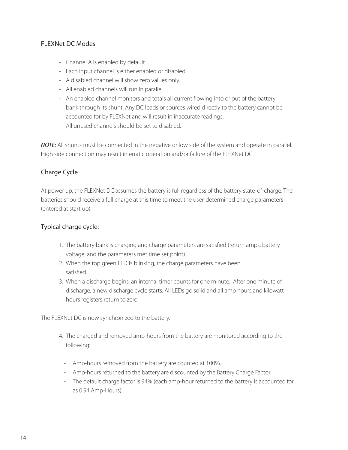### FLEXNet DC Modes

- Channel A is enabled by default
- Each input channel is either enabled or disabled.
- A disabled channel will show zero values only.
- All enabled channels will run in parallel.
- An enabled channel monitors and totals all current flowing into or out of the battery bank through its shunt. Any DC loads or sources wired directly to the battery cannot be accounted for by FLEXNet and will result in inaccurate readings.
- All unused channels should be set to disabled.

NOTE: All shunts must be connected in the negative or low side of the system and operate in parallel. High side connection may result in erratic operation and/or failure of the FLEXNet DC.

### Charge Cycle

At power up, the FLEXNet DC assumes the battery is full regardless of the battery state-of-charge. The batteries should receive a full charge at this time to meet the user-determined charge parameters (entered at start up).

### Typical charge cycle:

- 1. The battery bank is charging and charge parameters are satisfied (return amps, battery voltage, and the parameters met time set point).
- 2. When the top green LED is blinking, the charge parameters have been satisfied.
- 3. When a discharge begins, an internal timer counts for one minute. After one minute of discharge, a new discharge cycle starts. All LEDs go solid and all amp hours and kilowatt hours registers return to zero.

The FLEXNet DC is now synchronized to the battery.

- 4. The charged and removed amp-hours from the battery are monitored according to the following:
	- Amp-hours removed from the battery are counted at 100%.
	- Amp-hours returned to the battery are discounted by the Battery Charge Factor.
	- The default charge factor is 94% (each amp-hour returned to the battery is accounted for as 0.94 Amp-Hours).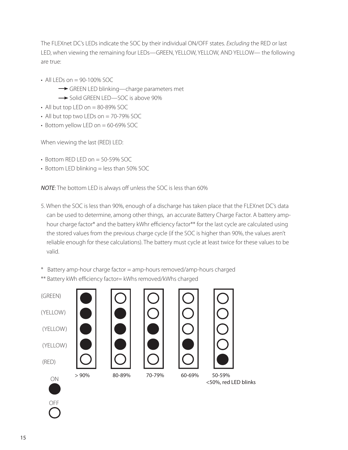The FLEXnet DC's LEDs indicate the SOC by their individual ON/OFF states. Excluding the RED or last LED, when viewing the remaining four LEDs—GREEN, YELLOW, YELLOW, AND YELLOW— the following are true:

- All LEDs on  $= 90 100\%$  SOC
	- GREEN LED blinking—charge parameters met
	- Solid GREEN LED-SOC is above 90%
- $\cdot$  All but top LED on = 80-89% SOC
- $\cdot$  All but top two LEDs on = 70-79% SOC
- $\cdot$  Bottom yellow LED on = 60-69% SOC

When viewing the last (RED) LED:

- $\cdot$  Bottom RED LED on = 50-59% SOC
- Bottom LED blinking = less than 50% SOC

NOTE: The bottom LED is always off unless the SOC is less than 60%

- 5. When the SOC is less than 90%, enough of a discharge has taken place that the FLEXnet DC's data can be used to determine, among other things, an accurate Battery Charge Factor. A battery amphour charge factor\* and the battery kWhr efficiency factor\*\* for the last cycle are calculated using the stored values from the previous charge cycle (if the SOC is higher than 90%, the values aren't reliable enough for these calculations). The battery must cycle at least twice for these values to be valid.
- \* Battery amp-hour charge factor = amp-hours removed/amp-hours charged
- \*\* Battery kWh efficiency factor= kWhs removed/kWhs charged









<50%, red LED blinks

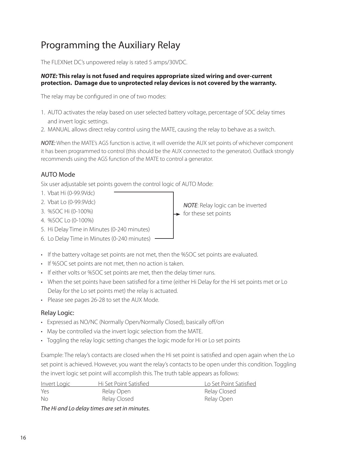# Programming the Auxiliary Relay

The FLEXNet DC's unpowered relay is rated 5 amps/30VDC.

#### *NOTE:* **This relay is not fused and requires appropriate sized wiring and over-current protection. Damage due to unprotected relay devices is not covered by the warranty.**

The relay may be configured in one of two modes:

- 1. AUTO activates the relay based on user selected battery voltage, percentage of SOC delay times and invert logic settings.
- 2. MANUAL allows direct relay control using the MATE, causing the relay to behave as a switch.

NOTE: When the MATE's AGS function is active, it will override the AUX set points of whichever component it has been programmed to control (this should be the AUX connected to the generator). OutBack strongly recommends using the AGS function of the MATE to control a generator.

### AUTO Mode

Six user adjustable set points govern the control logic of AUTO Mode:

- 1. Vbat Hi (0-99.9Vdc)
- 2. Vbat Lo (0-99.9Vdc)
- 3. %SOC Hi (0-100%)
- 4. %SOC Lo (0-100%)
- 5. Hi Delay Time in Minutes (0-240 minutes)
- 6. Lo Delay Time in Minutes (0-240 minutes)



- If %SOC set points are not met, then no action is taken.
- If either volts or %SOC set points are met, then the delay timer runs.
- When the set points have been satisfied for a time (either Hi Delay for the Hi set points met or Lo Delay for the Lo set points met) the relay is actuated.
- Please see pages 26-28 to set the AUX Mode.

### Relay Logic:

- Expressed as NO/NC (Normally Open/Normally Closed), basically off/on
- May be controlled via the invert logic selection from the MATE.
- Toggling the relay logic setting changes the logic mode for Hi or Lo set points

Example: The relay's contacts are closed when the Hi set point is satisfied and open again when the Lo set point is achieved. However, you want the relay's contacts to be open under this condition. Toggling the invert logic set point will accomplish this. The truth table appears as follows:

| <u>Invert Logic</u>                                | Hi Set Point Satisfied | Lo Set Point Satisfied |
|----------------------------------------------------|------------------------|------------------------|
| Yes                                                | Relay Open             | Relay Closed           |
| -No                                                | Relay Closed           | Relay Open             |
| The U.S. of U.S. delay the second set in principal |                        |                        |

The Hi and Lo delay times are set in minutes.

NOTE: Relay logic can be inverted  $\rightarrow$  for these set points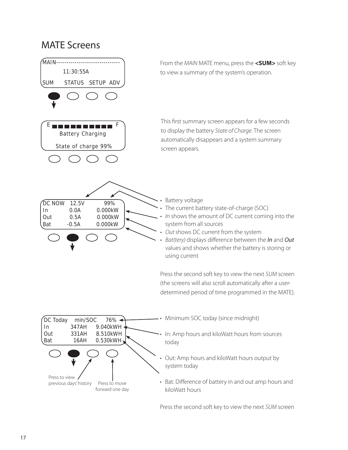### MATE Screens



Press the second soft key to view the next SUM screen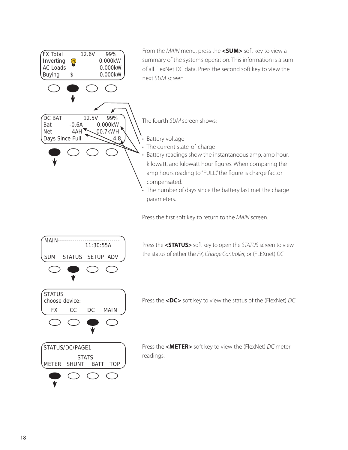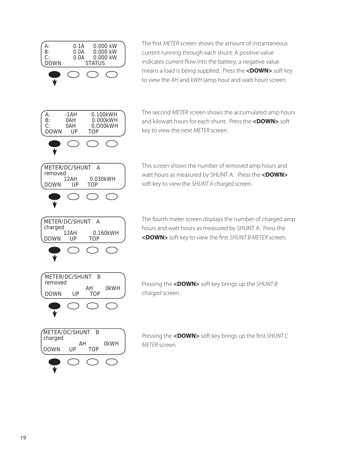

The first METER screen shows the amount of instantaneous current running through each shunt. A positive value indicates current flow into the battery; a negative value means a load is being supplied. Press the **<DOWN>** soft key to view the AH and kWH (amp hour and watt hour) screen.

The second METER screen shows the accumulated amp hours and kilowatt hours for each shunt. Press the **<DOWN>** soft key to view the next METER screen.

This screen shows the number of removed amp hours and watt hours as measured by SHUNT A. Press the <DOWN> soft key to view the SHUNT A charged screen.

The fourth meter screen displays the number of charged amp hours and watt hours as measured by SHUNT A. Press the <DOWN> soft key to view the first SHUNT B METER screen.

Pressing the **<DOWN>** soft key brings up the SHUNT B charged screen.

Pressing the **<DOWN>** soft key brings up the first SHUNT C METER screen.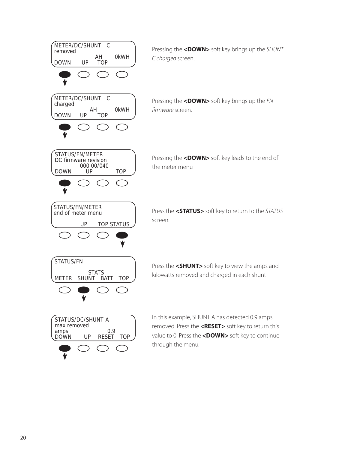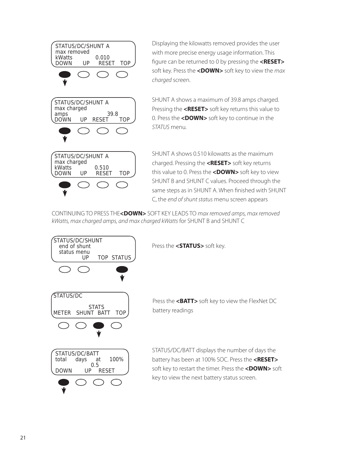

Displaying the kilowatts removed provides the user with more precise energy usage information. This figure can be returned to 0 by pressing the **<RESET>** soft key. Press the <DOWN> soft key to view the max charged screen.

SHUNT A shows a maximum of 39.8 amps charged. Pressing the **<RESET>** soft key returns this value to 0. Press the **<DOWN>** soft key to continue in the STATUS menu.

SHUNT A shows 0.510 kilowatts as the maximum charged. Pressing the **<RESET>** soft key returns this value to 0. Press the **<DOWN>** soft key to view SHUNT B and SHUNT C values. Proceed through the same steps as in SHUNT A. When finished with SHUNT C, the end of shunt status menu screen appears

CONTINUING TO PRESS THE<**DOWN>** SOFT KEY LEADS TO max removed amps, max removed kWatts, max charged amps, and max charged kWatts for SHUNT B and SHUNT C



Press the **<STATUS>** soft key.

Press the <**BATT>** soft key to view the FlexNet DC battery readings

STATUS/DC/BATT displays the number of days the battery has been at 100% SOC. Press the **<RESET>**  soft key to restart the timer. Press the **<DOWN>** soft key to view the next battery status screen.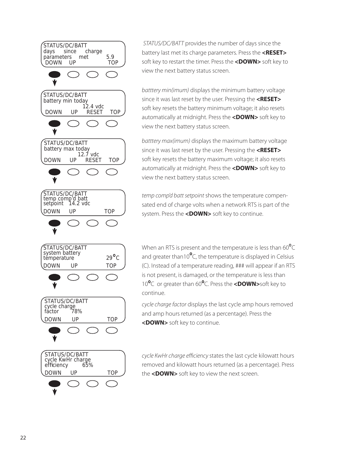

STATUS/DC/BATT provides the number of days since the battery last met its charge parameters. Press the **<RESET>**  soft key to restart the timer. Press the **<DOWN>** soft key to view the next battery status screen.

batttery min(imum) displays the minimum battery voltage since it was last reset by the user. Pressing the **<RESET>** soft key resets the battery minimum voltage; it also resets automatically at midnight. Press the **<DOWN>** soft key to view the next battery status screen.

batttery max(imum) displays the maximum battery voltage since it was last reset by the user. Pressing the **<RESET>** soft key resets the battery maximum voltage; it also resets automatically at midnight. Press the **<DOWN>** soft key to view the next battery status screen.

temp comp'd batt setpoint shows the temperature compensated end of charge volts when a network RTS is part of the system. Press the **<DOWN>** soft key to continue.

When an RTS is present and the temperature is less than  $60^{\circ}$ C and greater than10 $^{\circ}$ C, the temperature is displayed in Celsius (C). Instead of a temperature reading, ### will appear if an RTS is not present, is damaged, or the temperature is less than 10 C or greater than 60 C. Press the **<DOWN>**soft key to continue.

cycle charge factor displays the last cycle amp hours removed and amp hours returned (as a percentage). Press the **<DOWN>** soft key to continue.

cycle KwHr charge efficiency states the last cycle kilowatt hours removed and kilowatt hours returned (as a percentage). Press the **<DOWN>** soft key to view the next screen.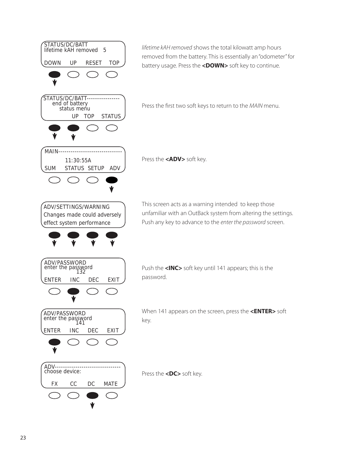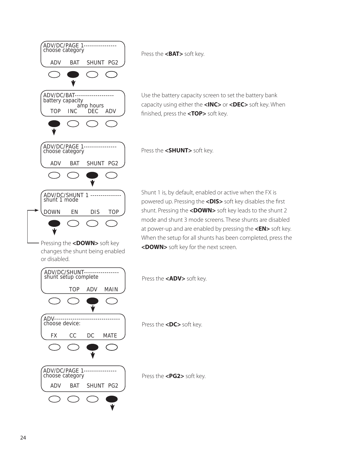

Pressing the **<DOWN>** soft key changes the shunt being enabled or disabled.



Use the battery capacity screen to set the battery bank capacity using either the **<INC>** or **<DEC>** soft key. When finished, press the **<TOP>** soft key.

Shunt 1 is, by default, enabled or active when the FX is powered up. Pressing the <DIS> soft key disables the first shunt. Pressing the **<DOWN>** soft key leads to the shunt 2 mode and shunt 3 mode screens. These shunts are disabled at power-up and are enabled by pressing the **<EN>** soft key. When the setup for all shunts has been completed, press the **<DOWN>** soft key for the next screen.



Press the **<ADV>** soft key.

Press the **<DC>** soft key.

Press the **<PG2>** soft key.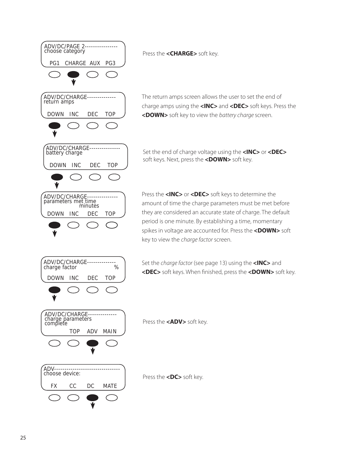

Press the **<CHARGE>** soft key.

The return amps screen allows the user to set the end of charge amps using the **<INC>** and **<DEC>** soft keys. Press the **<DOWN>** soft key to view the battery charge screen.

Set the end of charge voltage using the **<INC>** or **<DEC>** soft keys. Next, press the **<DOWN>** soft key.

Press the **<INC>** or **<DEC>** soft keys to determine the amount of time the charge parameters must be met before they are considered an accurate state of charge. The default period is one minute. By establishing a time, momentary spikes in voltage are accounted for. Press the **<DOWN>** soft key to view the charge factor screen.

Set the charge factor (see page 13) using the **<INC>** and <DEC> soft keys. When finished, press the <DOWN> soft key.

Press the **<ADV>** soft key.

Press the **<DC>** soft key.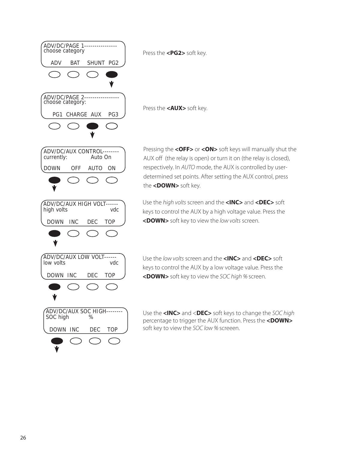

Press the **<PG2>** soft key.

Press the **<AUX>** soft key.

Pressing the **<OFF>** or **<ON>** soft keys will manually shut the AUX off (the relay is open) or turn it on (the relay is closed), respectively. In AUTO mode, the AUX is controlled by userdetermined set points. After setting the AUX control, press the **<DOWN>** soft key.

Use the high volts screen and the **<INC>** and **<DEC>** soft keys to control the AUX by a high voltage value. Press the **<DOWN>** soft key to view the low volts screen.

Use the low volts screen and the **<INC>** and **<DEC>** soft keys to control the AUX by a low voltage value. Press the **<DOWN>** soft key to view the SOC high % screen.

Use the **<INC>** and <**DEC>** soft keys to change the SOC high percentage to trigger the AUX function. Press the **<DOWN>** soft key to view the SOC low % screeen.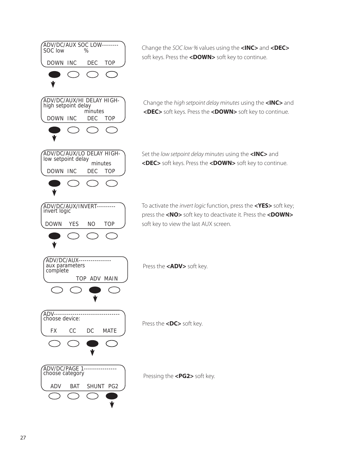

Change the SOC low % values using the **<INC>** and **<DEC>** soft keys. Press the **<DOWN>** soft key to continue.

Change the high setpoint delay minutes using the **<INC>** and **<DEC>** soft keys. Press the **<DOWN>** soft key to continue.

Set the low setpoint delay minutes using the **<INC>** and **<DEC>** soft keys. Press the **<DOWN>** soft key to continue.

To activate the invert logic function, press the **<YES>** soft key; press the **<NO>** soft key to deactivate it. Press the **<DOWN>** soft key to view the last AUX screen.

Press the **<ADV>** soft key.

Press the **<DC>** soft key.

Pressing the **<PG2>** soft key.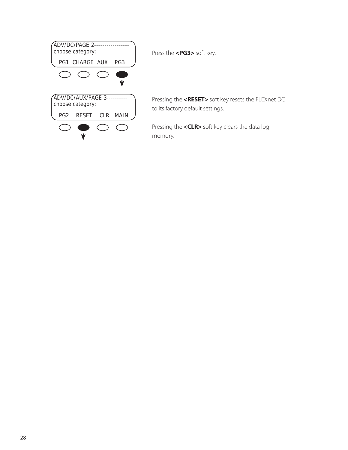

Press the **<PG3>** soft key.

Pressing the **<RESET>** soft key resets the FLEXnet DC to its factory default settings.

Pressing the **<CLR>** soft key clears the data log memory.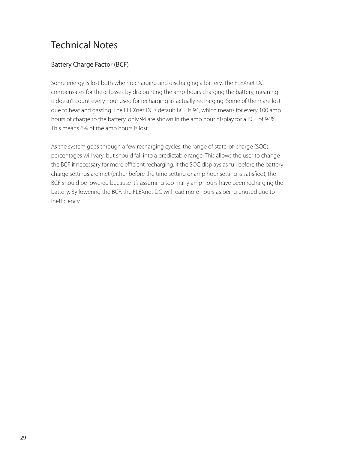# Technical Notes

### Battery Charge Factor (BCF)

Some energy is lost both when recharging and discharging a battery. The FLEXnet DC compensates for these losses by discounting the amp-hours charging the battery, meaning it doesn't count every hour used for recharging as actually recharging. Some of them are lost due to heat and gassing. The FLEXnet DC's default BCF is 94, which means for every 100 amp hours of charge to the battery, only 94 are shown in the amp hour display for a BCF of 94%. This means 6% of the amp hours is lost.

As the system goes through a few recharging cycles, the range of state-of-charge (SOC) percentages will vary, but should fall into a predictable range. This allows the user to change the BCF if necessary for more efficient recharging. If the SOC displays as full before the battery charge settings are met (either before the time setting or amp hour setting is satisfied), the BCF should be lowered because it's assuming too many amp hours have been recharging the battery. By lowering the BCF, the FLEXnet DC will read more hours as being unused due to inefficiency.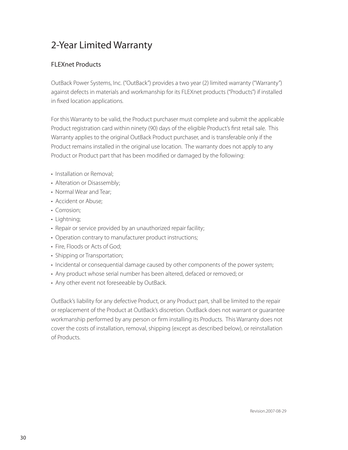# 2-Year Limited Warranty

### FLEXnet Products

OutBack Power Systems, Inc. ("OutBack") provides a two year (2) limited warranty ("Warranty") against defects in materials and workmanship for its FLEXnet products ("Products") if installed in fixed location applications.

For this Warranty to be valid, the Product purchaser must complete and submit the applicable Product registration card within ninety (90) days of the eligible Product's first retail sale. This Warranty applies to the original OutBack Product purchaser, and is transferable only if the Product remains installed in the original use location. The warranty does not apply to any Product or Product part that has been modified or damaged by the following:

- Installation or Removal;
- Alteration or Disassembly;
- Normal Wear and Tear;
- Accident or Abuse;
- Corrosion;
- Lightning;
- Repair or service provided by an unauthorized repair facility;
- Operation contrary to manufacturer product instructions;
- Fire, Floods or Acts of God;
- Shipping or Transportation;
- Incidental or consequential damage caused by other components of the power system;
- Any product whose serial number has been altered, defaced or removed; or
- Any other event not foreseeable by OutBack.

OutBack's liability for any defective Product, or any Product part, shall be limited to the repair or replacement of the Product at OutBack's discretion. OutBack does not warrant or guarantee workmanship performed by any person or firm installing its Products. This Warranty does not cover the costs of installation, removal, shipping (except as described below), or reinstallation of Products.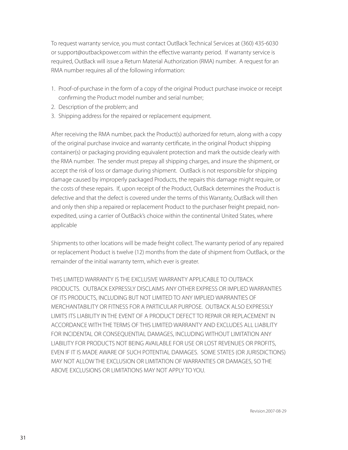To request warranty service, you must contact OutBack Technical Services at (360) 435-6030 or support@outbackpower.com within the effective warranty period. If warranty service is required, OutBack will issue a Return Material Authorization (RMA) number. A request for an RMA number requires all of the following information:

- 1. Proof-of-purchase in the form of a copy of the original Product purchase invoice or receipt confirming the Product model number and serial number;
- 2. Description of the problem; and
- 3. Shipping address for the repaired or replacement equipment.

After receiving the RMA number, pack the Product(s) authorized for return, along with a copy of the original purchase invoice and warranty certificate, in the original Product shipping container(s) or packaging providing equivalent protection and mark the outside clearly with the RMA number. The sender must prepay all shipping charges, and insure the shipment, or accept the risk of loss or damage during shipment. OutBack is not responsible for shipping damage caused by improperly packaged Products, the repairs this damage might require, or the costs of these repairs. If, upon receipt of the Product, OutBack determines the Product is defective and that the defect is covered under the terms of this Warranty, OutBack will then and only then ship a repaired or replacement Product to the purchaser freight prepaid, nonexpedited, using a carrier of OutBack's choice within the continental United States, where applicable

Shipments to other locations will be made freight collect. The warranty period of any repaired or replacement Product is twelve (12) months from the date of shipment from OutBack, or the remainder of the initial warranty term, which ever is greater.

THIS LIMITED WARRANTY IS THE EXCLUSIVE WARRANTY APPLICABLE TO OUTBACK PRODUCTS. OUTBACK EXPRESSLY DISCLAIMS ANY OTHER EXPRESS OR IMPLIED WARRANTIES OF ITS PRODUCTS, INCLUDING BUT NOT LIMITED TO ANY IMPLIED WARRANTIES OF MERCHANTABILITY OR FITNESS FOR A PARTICULAR PURPOSE. OUTBACK ALSO EXPRESSLY LIMITS ITS LIABILITY IN THE EVENT OF A PRODUCT DEFECT TO REPAIR OR REPLACEMENT IN ACCORDANCE WITH THE TERMS OF THIS LIMITED WARRANTY AND EXCLUDES ALL LIABILITY FOR INCIDENTAL OR CONSEQUENTIAL DAMAGES, INCLUDING WITHOUT LIMITATION ANY LIABILITY FOR PRODUCTS NOT BEING AVAILABLE FOR USE OR LOST REVENUES OR PROFITS, EVEN IF IT IS MADE AWARE OF SUCH POTENTIAL DAMAGES. SOME STATES (OR JURISDICTIONS) MAY NOT ALLOW THE EXCLUSION OR LIMITATION OF WARRANTIES OR DAMAGES, SO THE ABOVE EXCLUSIONS OR LIMITATIONS MAY NOT APPLY TO YOU.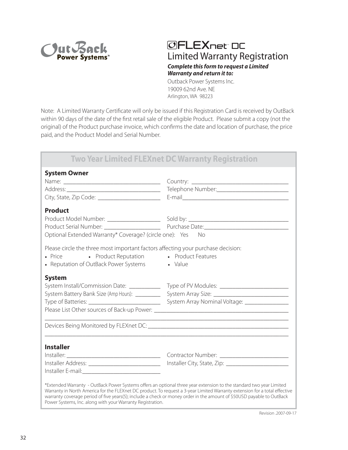

### Limited Warranty Registration *Complete this form to request a Limited Warranty and return it to:* **OFLEXnet DC**

Outback Power Systems Inc. 19009 62nd Ave. NE Arlington, WA 98223

Note: A Limited Warranty Certificate will only be issued if this Registration Card is received by OutBack within 90 days of the date of the first retail sale of the eligible Product. Please submit a copy (not the original) of the Product purchase invoice, which confirms the date and location of purchase, the price paid, and the Product Model and Serial Number.

### **Two Year Limited FLEXnet DC Warranty Registration System Owner**

| yyssiin viriisi                                                                  |                                                                                                                                                                                                                                                                                                                                                                            |
|----------------------------------------------------------------------------------|----------------------------------------------------------------------------------------------------------------------------------------------------------------------------------------------------------------------------------------------------------------------------------------------------------------------------------------------------------------------------|
|                                                                                  |                                                                                                                                                                                                                                                                                                                                                                            |
| <b>Product</b>                                                                   |                                                                                                                                                                                                                                                                                                                                                                            |
|                                                                                  |                                                                                                                                                                                                                                                                                                                                                                            |
|                                                                                  |                                                                                                                                                                                                                                                                                                                                                                            |
| Optional Extended Warranty* Coverage? (circle one): Yes No                       |                                                                                                                                                                                                                                                                                                                                                                            |
| Please circle the three most important factors affecting your purchase decision: |                                                                                                                                                                                                                                                                                                                                                                            |
| • Price • Product Reputation • Product Features                                  |                                                                                                                                                                                                                                                                                                                                                                            |
| • Reputation of OutBack Power Systems • Value                                    |                                                                                                                                                                                                                                                                                                                                                                            |
| <b>System</b>                                                                    |                                                                                                                                                                                                                                                                                                                                                                            |
| System Install/Commission Date: ___________                                      |                                                                                                                                                                                                                                                                                                                                                                            |
| System Battery Bank Size (Amp Hours): _________                                  |                                                                                                                                                                                                                                                                                                                                                                            |
|                                                                                  |                                                                                                                                                                                                                                                                                                                                                                            |
|                                                                                  |                                                                                                                                                                                                                                                                                                                                                                            |
|                                                                                  |                                                                                                                                                                                                                                                                                                                                                                            |
| <b>Installer</b>                                                                 |                                                                                                                                                                                                                                                                                                                                                                            |
|                                                                                  |                                                                                                                                                                                                                                                                                                                                                                            |
|                                                                                  | Installer Address: ________________________________ Installer City, State, Zip: ___________________                                                                                                                                                                                                                                                                        |
|                                                                                  |                                                                                                                                                                                                                                                                                                                                                                            |
| Power Systems, Inc. along with your Warranty Registration.                       | *Extended Warranty - OutBack Power Systems offers an optional three year extension to the standard two year Limited<br>Warranty in North America for the FLEXnet DC product. To request a 3-year Limited Warranty extension for a total effective<br>warranty coverage period of five years(5); include a check or money order in the amount of \$50USD payable to OutBack |

Revision .2007-09-17